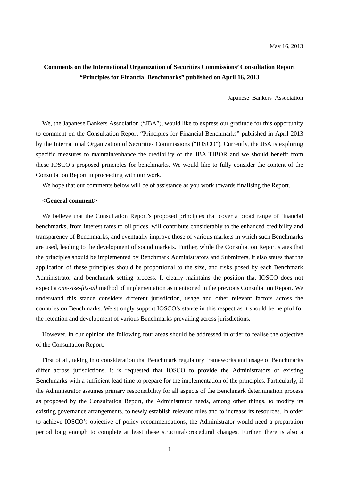# **Comments on the International Organization of Securities Commissions' Consultation Report "Principles for Financial Benchmarks" published on April 16, 2013**

Japanese Bankers Association

We, the Japanese Bankers Association ("JBA"), would like to express our gratitude for this opportunity to comment on the Consultation Report "Principles for Financial Benchmarks" published in April 2013 by the International Organization of Securities Commissions ("IOSCO"). Currently, the JBA is exploring specific measures to maintain/enhance the credibility of the JBA TIBOR and we should benefit from these IOSCO's proposed principles for benchmarks. We would like to fully consider the content of the Consultation Report in proceeding with our work.

We hope that our comments below will be of assistance as you work towards finalising the Report.

## **<General comment>**

We believe that the Consultation Report's proposed principles that cover a broad range of financial benchmarks, from interest rates to oil prices, will contribute considerably to the enhanced credibility and transparency of Benchmarks, and eventually improve those of various markets in which such Benchmarks are used, leading to the development of sound markets. Further, while the Consultation Report states that the principles should be implemented by Benchmark Administrators and Submitters, it also states that the application of these principles should be proportional to the size, and risks posed by each Benchmark Administrator and benchmark setting process. It clearly maintains the position that IOSCO does not expect a *one-size-fits-all* method of implementation as mentioned in the previous Consultation Report. We understand this stance considers different jurisdiction, usage and other relevant factors across the countries on Benchmarks. We strongly support IOSCO's stance in this respect as it should be helpful for the retention and development of various Benchmarks prevailing across jurisdictions.

However, in our opinion the following four areas should be addressed in order to realise the objective of the Consultation Report.

First of all, taking into consideration that Benchmark regulatory frameworks and usage of Benchmarks differ across jurisdictions, it is requested that IOSCO to provide the Administrators of existing Benchmarks with a sufficient lead time to prepare for the implementation of the principles. Particularly, if the Administrator assumes primary responsibility for all aspects of the Benchmark determination process as proposed by the Consultation Report, the Administrator needs, among other things, to modify its existing governance arrangements, to newly establish relevant rules and to increase its resources. In order to achieve IOSCO's objective of policy recommendations, the Administrator would need a preparation period long enough to complete at least these structural/procedural changes. Further, there is also a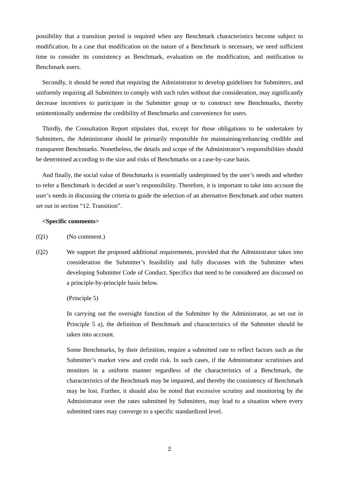possibility that a transition period is required when any Benchmark characteristics become subject to modification. In a case that modification on the nature of a Benchmark is necessary, we need sufficient time to consider its consistency as Benchmark, evaluation on the modification, and notification to Benchmark users.

Secondly, it should be noted that requiring the Administrator to develop guidelines for Submitters, and uniformly requiring all Submitters to comply with such rules without due consideration, may significantly decrease incentives to participate in the Submitter group or to construct new Benchmarks, thereby unintentionally undermine the credibility of Benchmarks and convenience for users.

Thirdly, the Consultation Report stipulates that, except for those obligations to be undertaken by Submitters, the Administrator should be primarily responsible for maintaining/enhancing credible and transparent Benchmarks. Nonetheless, the details and scope of the Administrator's responsibilities should be determined according to the size and risks of Benchmarks on a case-by-case basis.

And finally, the social value of Benchmarks is essentially underpinned by the user's needs and whether to refer a Benchmark is decided at user's responsibility. Therefore, it is important to take into account the user's needs in discussing the criteria to guide the selection of an alternative Benchmark and other matters set out in section "12. Transition".

# **<Specific comments>**

(Q1) (No comment.)

(Q2) We support the proposed additional requirements, provided that the Administrator takes into consideration the Submitter's feasibility and fully discusses with the Submitter when developing Submitter Code of Conduct. Specifics that need to be considered are discussed on a principle-by-principle basis below.

## (Principle 5)

In carrying out the oversight function of the Submitter by the Administrator, as set out in Principle 5 a), the definition of Benchmark and characteristics of the Submitter should be taken into account.

Some Benchmarks, by their definition, require a submitted rate to reflect factors such as the Submitter's market view and credit risk. In such cases, if the Administrator scrutinises and monitors in a uniform manner regardless of the characteristics of a Benchmark, the characteristics of the Benchmark may be impaired, and thereby the consistency of Benchmark may be lost. Further, it should also be noted that excessive scrutiny and monitoring by the Administrator over the rates submitted by Submitters, may lead to a situation where every submitted rates may converge to a specific standardized level.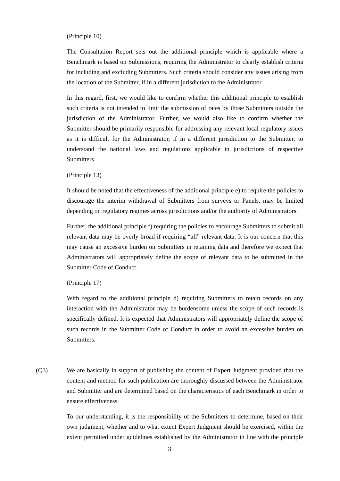#### (Principle 10)

The Consultation Report sets out the additional principle which is applicable where a Benchmark is based on Submissions, requiring the Administrator to clearly establish criteria for including and excluding Submitters. Such criteria should consider any issues arising from the location of the Submitter, if in a different jurisdiction to the Administrator.

In this regard, first, we would like to confirm whether this additional principle to establish such criteria is not intended to limit the submission of rates by those Submitters outside the jurisdiction of the Administrator. Further, we would also like to confirm whether the Submitter should be primarily responsible for addressing any relevant local regulatory issues as it is difficult for the Administrator, if in a different jurisdiction to the Submitter, to understand the national laws and regulations applicable in jurisdictions of respective Submitters.

## (Principle 13)

It should be noted that the effectiveness of the additional principle e) to require the policies to discourage the interim withdrawal of Submitters from surveys or Panels, may be limited depending on regulatory regimes across jurisdictions and/or the authority of Administrators.

Further, the additional principle f) requiring the policies to encourage Submitters to submit all relevant data may be overly broad if requiring "all" relevant data. It is our concern that this may cause an excessive burden on Submitters in retaining data and therefore we expect that Administrators will appropriately define the scope of relevant data to be submitted in the Submitter Code of Conduct.

# (Principle 17)

With regard to the additional principle d) requiring Submitters to retain records on any interaction with the Administrator may be burdensome unless the scope of such records is specifically defined. It is expected that Administrators will appropriately define the scope of such records in the Submitter Code of Conduct in order to avoid an excessive burden on Submitters.

(Q3) We are basically in support of publishing the content of Expert Judgment provided that the content and method for such publication are thoroughly discussed between the Administrator and Submitter and are determined based on the characteristics of each Benchmark in order to ensure effectiveness.

> To our understanding, it is the responsibility of the Submitters to determine, based on their own judgment, whether and to what extent Expert Judgment should be exercised, within the extent permitted under guidelines established by the Administrator in line with the principle